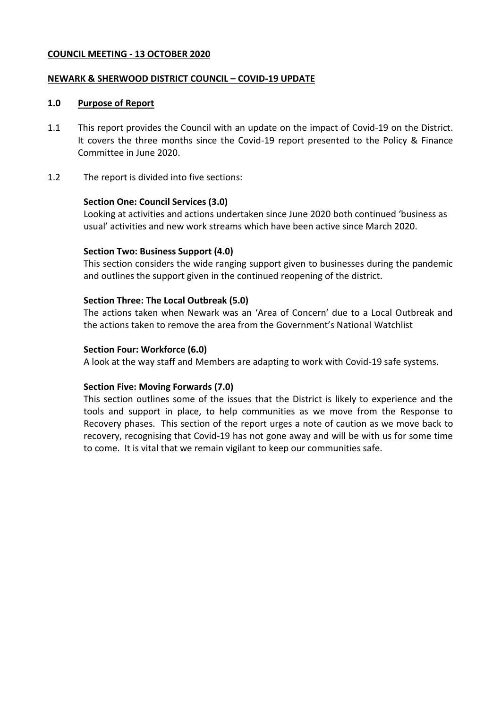#### **COUNCIL MEETING - 13 OCTOBER 2020**

#### **NEWARK & SHERWOOD DISTRICT COUNCIL – COVID-19 UPDATE**

#### **1.0 Purpose of Report**

- 1.1 This report provides the Council with an update on the impact of Covid-19 on the District. It covers the three months since the Covid-19 report presented to the Policy & Finance Committee in June 2020.
- 1.2 The report is divided into five sections:

#### **Section One: Council Services (3.0)**

Looking at activities and actions undertaken since June 2020 both continued 'business as usual' activities and new work streams which have been active since March 2020.

#### **Section Two: Business Support (4.0)**

This section considers the wide ranging support given to businesses during the pandemic and outlines the support given in the continued reopening of the district.

#### **Section Three: The Local Outbreak (5.0)**

The actions taken when Newark was an 'Area of Concern' due to a Local Outbreak and the actions taken to remove the area from the Government's National Watchlist

#### **Section Four: Workforce (6.0)**

A look at the way staff and Members are adapting to work with Covid-19 safe systems.

#### **Section Five: Moving Forwards (7.0)**

This section outlines some of the issues that the District is likely to experience and the tools and support in place, to help communities as we move from the Response to Recovery phases. This section of the report urges a note of caution as we move back to recovery, recognising that Covid-19 has not gone away and will be with us for some time to come. It is vital that we remain vigilant to keep our communities safe.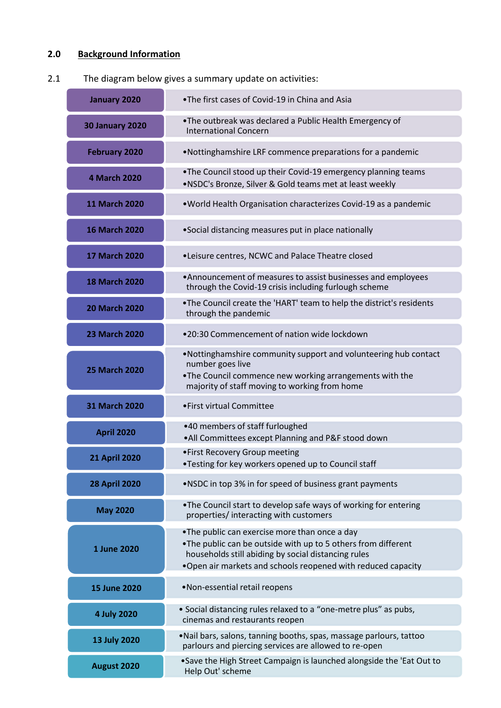# **2.0 Background Information**

## 2.1 The diagram below gives a summary update on activities:

| January 2020           | .The first cases of Covid-19 in China and Asia                                                                                                                                                                                          |  |  |
|------------------------|-----------------------------------------------------------------------------------------------------------------------------------------------------------------------------------------------------------------------------------------|--|--|
| <b>30 January 2020</b> | . The outbreak was declared a Public Health Emergency of<br><b>International Concern</b>                                                                                                                                                |  |  |
| <b>February 2020</b>   | . Nottinghamshire LRF commence preparations for a pandemic                                                                                                                                                                              |  |  |
| <b>4 March 2020</b>    | . The Council stood up their Covid-19 emergency planning teams<br>. NSDC's Bronze, Silver & Gold teams met at least weekly                                                                                                              |  |  |
| <b>11 March 2020</b>   | . World Health Organisation characterizes Covid-19 as a pandemic                                                                                                                                                                        |  |  |
| <b>16 March 2020</b>   | • Social distancing measures put in place nationally                                                                                                                                                                                    |  |  |
| <b>17 March 2020</b>   | . Leisure centres, NCWC and Palace Theatre closed                                                                                                                                                                                       |  |  |
| <b>18 March 2020</b>   | •Announcement of measures to assist businesses and employees<br>through the Covid-19 crisis including furlough scheme                                                                                                                   |  |  |
| <b>20 March 2020</b>   | . The Council create the 'HART' team to help the district's residents<br>through the pandemic                                                                                                                                           |  |  |
| <b>23 March 2020</b>   | .20:30 Commencement of nation wide lockdown                                                                                                                                                                                             |  |  |
| <b>25 March 2020</b>   | . Nottinghamshire community support and volunteering hub contact<br>number goes live<br>. The Council commence new working arrangements with the<br>majority of staff moving to working from home                                       |  |  |
| <b>31 March 2020</b>   | • First virtual Committee                                                                                                                                                                                                               |  |  |
| <b>April 2020</b>      | •40 members of staff furloughed<br>. All Committees except Planning and P&F stood down                                                                                                                                                  |  |  |
| <b>21 April 2020</b>   | • First Recovery Group meeting<br>•Testing for key workers opened up to Council staff                                                                                                                                                   |  |  |
| <b>28 April 2020</b>   | . NSDC in top 3% in for speed of business grant payments                                                                                                                                                                                |  |  |
| <b>May 2020</b>        | . The Council start to develop safe ways of working for entering<br>properties/interacting with customers                                                                                                                               |  |  |
| 1 June 2020            | •The public can exercise more than once a day<br>. The public can be outside with up to 5 others from different<br>households still abiding by social distancing rules<br>. Open air markets and schools reopened with reduced capacity |  |  |
| <b>15 June 2020</b>    | .Non-essential retail reopens                                                                                                                                                                                                           |  |  |
| 4 July 2020            | • Social distancing rules relaxed to a "one-metre plus" as pubs,<br>cinemas and restaurants reopen                                                                                                                                      |  |  |
| 13 July 2020           | . Nail bars, salons, tanning booths, spas, massage parlours, tattoo<br>parlours and piercing services are allowed to re-open                                                                                                            |  |  |
| August 2020            | .Save the High Street Campaign is launched alongside the 'Eat Out to<br>Help Out' scheme                                                                                                                                                |  |  |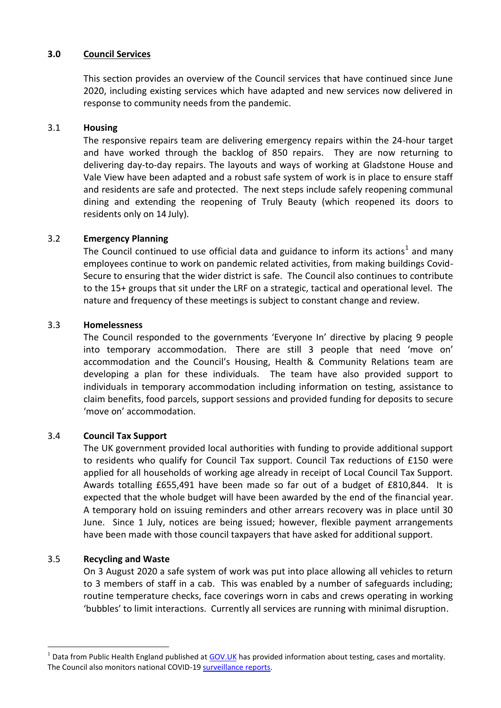#### **3.0 Council Services**

This section provides an overview of the Council services that have continued since June 2020, including existing services which have adapted and new services now delivered in response to community needs from the pandemic.

#### 3.1 **Housing**

The responsive repairs team are delivering emergency repairs within the 24-hour target and have worked through the backlog of 850 repairs. They are now returning to delivering day-to-day repairs. The layouts and ways of working at Gladstone House and Vale View have been adapted and a robust safe system of work is in place to ensure staff and residents are safe and protected. The next steps include safely reopening communal dining and extending the reopening of Truly Beauty (which reopened its doors to residents only on 14 July).

## 3.2 **Emergency Planning**

The Council continued to use official data and guidance to inform its actions<sup>1</sup> and many employees continue to work on pandemic related activities, from making buildings Covid-Secure to ensuring that the wider district is safe. The Council also continues to contribute to the 15+ groups that sit under the LRF on a strategic, tactical and operational level. The nature and frequency of these meetings is subject to constant change and review.

#### 3.3 **Homelessness**

The Council responded to the governments 'Everyone In' directive by placing 9 people into temporary accommodation. There are still 3 people that need 'move on' accommodation and the Council's Housing, Health & Community Relations team are developing a plan for these individuals. The team have also provided support to individuals in temporary accommodation including information on testing, assistance to claim benefits, food parcels, support sessions and provided funding for deposits to secure 'move on' accommodation.

#### 3.4 **Council Tax Support**

The UK government provided local authorities with funding to provide additional support to residents who qualify for Council Tax support. Council Tax reductions of £150 were applied for all households of working age already in receipt of Local Council Tax Support. Awards totalling £655,491 have been made so far out of a budget of £810,844. It is expected that the whole budget will have been awarded by the end of the financial year. A temporary hold on issuing reminders and other arrears recovery was in place until 30 June. Since 1 July, notices are being issued; however, flexible payment arrangements have been made with those council taxpayers that have asked for additional support.

## 3.5 **Recycling and Waste**

1

On 3 August 2020 a safe system of work was put into place allowing all vehicles to return to 3 members of staff in a cab. This was enabled by a number of safeguards including; routine temperature checks, face coverings worn in cabs and crews operating in working 'bubbles' to limit interactions. Currently all services are running with minimal disruption.

 $1$  Data from Public Health England published at [GOV.UK](https://coronavirus.data.gov.uk/#main-content) has provided information about testing, cases and mortality. The Council also monitors national COVID-19 [surveillance reports.](https://www.gov.uk/government/publications/national-covid-19-surveillance-reports)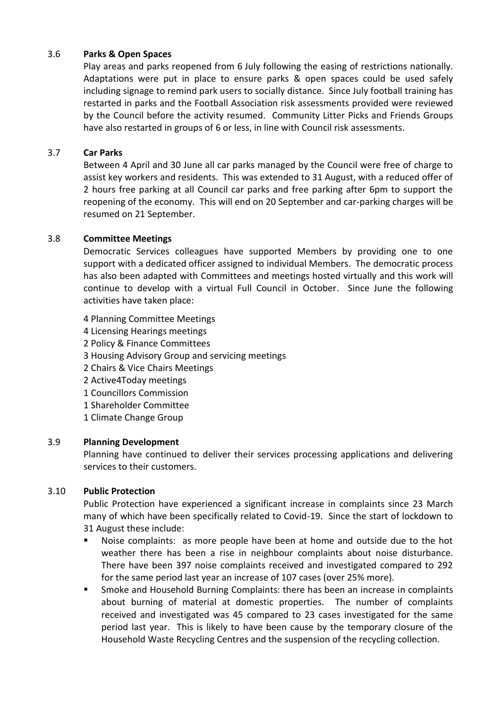## 3.6 **Parks & Open Spaces**

Play areas and parks reopened from 6 July following the easing of restrictions nationally. Adaptations were put in place to ensure parks & open spaces could be used safely including signage to remind park users to socially distance. Since July football training has restarted in parks and the Football Association risk assessments provided were reviewed by the Council before the activity resumed. Community Litter Picks and Friends Groups have also restarted in groups of 6 or less, in line with Council risk assessments.

#### 3.7 **Car Parks**

Between 4 April and 30 June all car parks managed by the Council were free of charge to assist key workers and residents. This was extended to 31 August, with a reduced offer of 2 hours free parking at all Council car parks and free parking after 6pm to support the reopening of the economy. This will end on 20 September and car-parking charges will be resumed on 21 September.

#### 3.8 **Committee Meetings**

Democratic Services colleagues have supported Members by providing one to one support with a dedicated officer assigned to individual Members. The democratic process has also been adapted with Committees and meetings hosted virtually and this work will continue to develop with a virtual Full Council in October. Since June the following activities have taken place:

4 Planning Committee Meetings 4 Licensing Hearings meetings 2 Policy & Finance Committees 3 Housing Advisory Group and servicing meetings 2 Chairs & Vice Chairs Meetings 2 Active4Today meetings 1 Councillors Commission 1 Shareholder Committee 1 Climate Change Group

#### 3.9 **Planning Development**

Planning have continued to deliver their services processing applications and delivering services to their customers.

## 3.10 **Public Protection**

Public Protection have experienced a significant increase in complaints since 23 March many of which have been specifically related to Covid-19. Since the start of lockdown to 31 August these include:

- Noise complaints: as more people have been at home and outside due to the hot weather there has been a rise in neighbour complaints about noise disturbance. There have been 397 noise complaints received and investigated compared to 292 for the same period last year an increase of 107 cases (over 25% more).
- Smoke and Household Burning Complaints: there has been an increase in complaints about burning of material at domestic properties. The number of complaints received and investigated was 45 compared to 23 cases investigated for the same period last year. This is likely to have been cause by the temporary closure of the Household Waste Recycling Centres and the suspension of the recycling collection.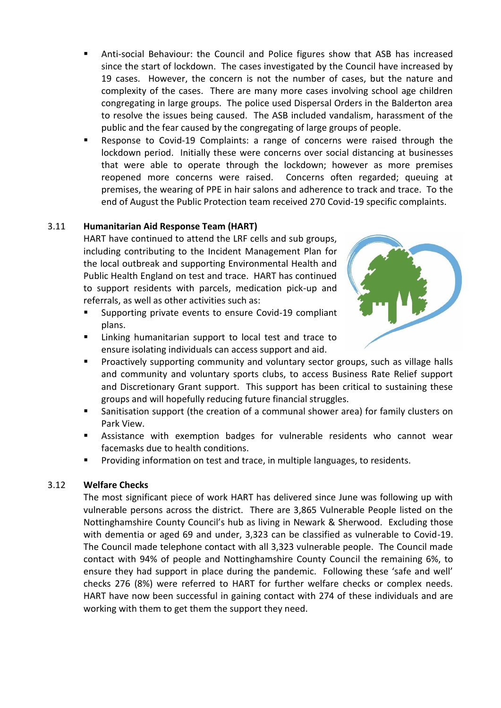- Anti-social Behaviour: the Council and Police figures show that ASB has increased since the start of lockdown. The cases investigated by the Council have increased by 19 cases. However, the concern is not the number of cases, but the nature and complexity of the cases. There are many more cases involving school age children congregating in large groups. The police used Dispersal Orders in the Balderton area to resolve the issues being caused. The ASB included vandalism, harassment of the public and the fear caused by the congregating of large groups of people.
- Response to Covid-19 Complaints: a range of concerns were raised through the lockdown period. Initially these were concerns over social distancing at businesses that were able to operate through the lockdown; however as more premises reopened more concerns were raised. Concerns often regarded; queuing at premises, the wearing of PPE in hair salons and adherence to track and trace. To the end of August the Public Protection team received 270 Covid-19 specific complaints.

## 3.11 **Humanitarian Aid Response Team (HART)**

HART have continued to attend the LRF cells and sub groups, including contributing to the Incident Management Plan for the local outbreak and supporting Environmental Health and Public Health England on test and trace. HART has continued to support residents with parcels, medication pick-up and referrals, as well as other activities such as:

- Supporting private events to ensure Covid-19 compliant plans.
- Linking humanitarian support to local test and trace to ensure isolating individuals can access support and aid.



- Proactively supporting community and voluntary sector groups, such as village halls and community and voluntary sports clubs, to access Business Rate Relief support and Discretionary Grant support. This support has been critical to sustaining these groups and will hopefully reducing future financial struggles.
- Sanitisation support (the creation of a communal shower area) for family clusters on Park View.
- Assistance with exemption badges for vulnerable residents who cannot wear facemasks due to health conditions.
- Providing information on test and trace, in multiple languages, to residents.

## 3.12 **Welfare Checks**

The most significant piece of work HART has delivered since June was following up with vulnerable persons across the district. There are 3,865 Vulnerable People listed on the Nottinghamshire County Council's hub as living in Newark & Sherwood. Excluding those with dementia or aged 69 and under, 3,323 can be classified as vulnerable to Covid-19. The Council made telephone contact with all 3,323 vulnerable people. The Council made contact with 94% of people and Nottinghamshire County Council the remaining 6%, to ensure they had support in place during the pandemic. Following these 'safe and well' checks 276 (8%) were referred to HART for further welfare checks or complex needs. HART have now been successful in gaining contact with 274 of these individuals and are working with them to get them the support they need.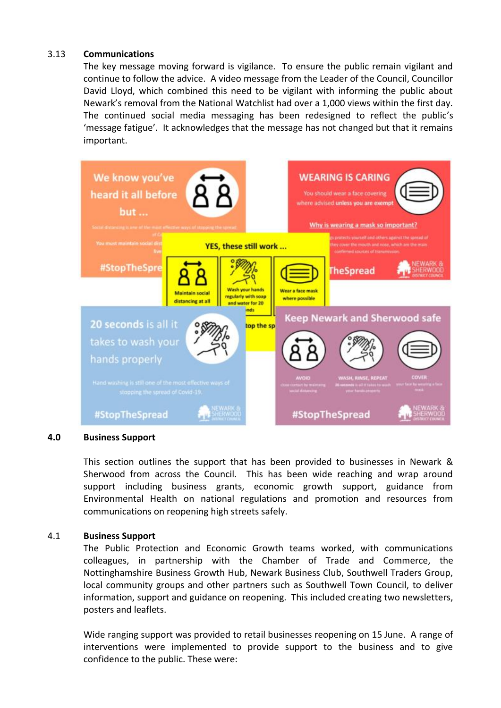#### 3.13 **Communications**

The key message moving forward is vigilance. To ensure the public remain vigilant and continue to follow the advice. A video message from the Leader of the Council, Councillor David Lloyd, which combined this need to be vigilant with informing the public about Newark's removal from the National Watchlist had over a 1,000 views within the first day. The continued social media messaging has been redesigned to reflect the public's 'message fatigue'. It acknowledges that the message has not changed but that it remains important.



#### **4.0 Business Support**

This section outlines the support that has been provided to businesses in Newark & Sherwood from across the Council. This has been wide reaching and wrap around support including business grants, economic growth support, guidance from Environmental Health on national regulations and promotion and resources from communications on reopening high streets safely.

#### 4.1 **Business Support**

The Public Protection and Economic Growth teams worked, with communications colleagues, in partnership with the Chamber of Trade and Commerce, the Nottinghamshire Business Growth Hub, Newark Business Club, Southwell Traders Group, local community groups and other partners such as Southwell Town Council, to deliver information, support and guidance on reopening. This included creating two newsletters, posters and leaflets.

Wide ranging support was provided to retail businesses reopening on 15 June. A range of interventions were implemented to provide support to the business and to give confidence to the public. These were: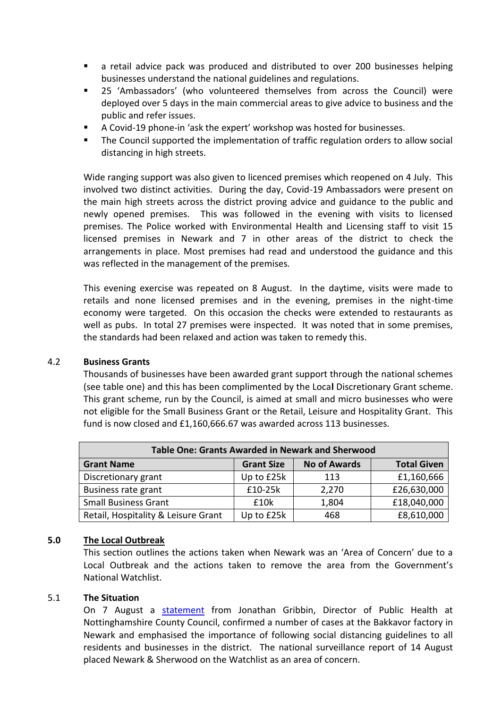- a retail advice pack was produced and distributed to over 200 businesses helping businesses understand the national guidelines and regulations.
- 25 'Ambassadors' (who volunteered themselves from across the Council) were deployed over 5 days in the main commercial areas to give advice to business and the public and refer issues.
- A Covid-19 phone-in 'ask the expert' workshop was hosted for businesses.
- The Council supported the implementation of traffic regulation orders to allow social distancing in high streets.

Wide ranging support was also given to licenced premises which reopened on 4 July. This involved two distinct activities. During the day, Covid-19 Ambassadors were present on the main high streets across the district proving advice and guidance to the public and newly opened premises. This was followed in the evening with visits to licensed premises. The Police worked with Environmental Health and Licensing staff to visit 15 licensed premises in Newark and 7 in other areas of the district to check the arrangements in place. Most premises had read and understood the guidance and this was reflected in the management of the premises.

This evening exercise was repeated on 8 August. In the daytime, visits were made to retails and none licensed premises and in the evening, premises in the night-time economy were targeted. On this occasion the checks were extended to restaurants as well as pubs. In total 27 premises were inspected. It was noted that in some premises, the standards had been relaxed and action was taken to remedy this.

## 4.2 **Business Grants**

Thousands of businesses have been awarded grant support through the national schemes (see table one) and this has been complimented by the Loca**l** Discretionary Grant scheme. This grant scheme, run by the Council, is aimed at small and micro businesses who were not eligible for the Small Business Grant or the Retail, Leisure and Hospitality Grant. This fund is now closed and £1,160,666.67 was awarded across 113 businesses.

| <b>Table One: Grants Awarded in Newark and Sherwood</b> |                   |                     |                    |  |
|---------------------------------------------------------|-------------------|---------------------|--------------------|--|
| <b>Grant Name</b>                                       | <b>Grant Size</b> | <b>No of Awards</b> | <b>Total Given</b> |  |
| Discretionary grant                                     | Up to £25k        | 113                 | £1,160,666         |  |
| Business rate grant                                     | £10-25k           | 2,270               | £26,630,000        |  |
| <b>Small Business Grant</b>                             | £10k              | 1,804               | £18,040,000        |  |
| Retail, Hospitality & Leisure Grant                     | Up to £25k        | 468                 | £8,610,000         |  |

## **5.0 The Local Outbreak**

This section outlines the actions taken when Newark was an 'Area of Concern' due to a Local Outbreak and the actions taken to remove the area from the Government's National Watchlist.

#### 5.1 **The Situation**

On 7 August a [statement](https://www.nottinghamshire.gov.uk/newsroom/news/whole-workplace-testing-to-be-deployed-to-bakkavor-desserts-newark) from Jonathan Gribbin, Director of Public Health at Nottinghamshire County Council, confirmed a number of cases at the Bakkavor factory in Newark and emphasised the importance of following social distancing guidelines to all residents and businesses in the district. The national surveillance report of 14 August placed Newark & Sherwood on the Watchlist as an area of concern.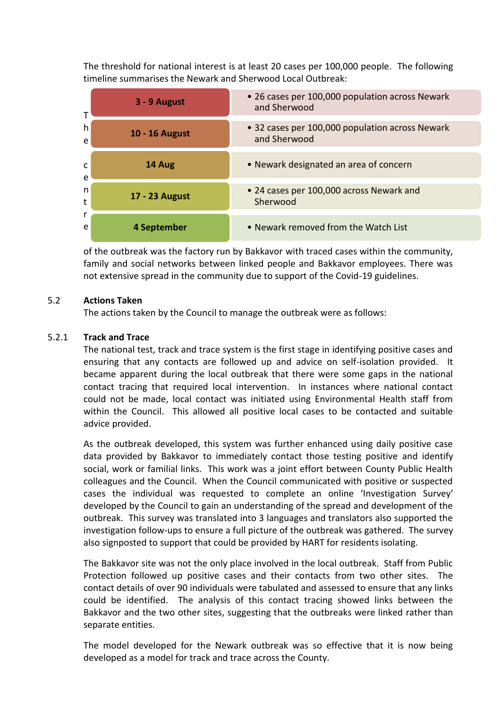The threshold for national interest is at least 20 cases per 100,000 people. The following timeline summarises the Newark and Sherwood Local Outbreak:



of the outbreak was the factory run by Bakkavor with traced cases within the community, family and social networks between linked people and Bakkavor employees. There was not extensive spread in the community due to support of the Covid-19 guidelines.

#### 5.2 **Actions Taken**

The actions taken by the Council to manage the outbreak were as follows:

#### 5.2.1 **Track and Trace**

The national test, track and trace system is the first stage in identifying positive cases and ensuring that any contacts are followed up and advice on self-isolation provided. It became apparent during the local outbreak that there were some gaps in the national contact tracing that required local intervention. In instances where national contact could not be made, local contact was initiated using Environmental Health staff from within the Council. This allowed all positive local cases to be contacted and suitable advice provided.

As the outbreak developed, this system was further enhanced using daily positive case data provided by Bakkavor to immediately contact those testing positive and identify social, work or familial links. This work was a joint effort between County Public Health colleagues and the Council. When the Council communicated with positive or suspected cases the individual was requested to complete an online 'Investigation Survey' developed by the Council to gain an understanding of the spread and development of the outbreak. This survey was translated into 3 languages and translators also supported the investigation follow-ups to ensure a full picture of the outbreak was gathered. The survey also signposted to support that could be provided by HART for residents isolating.

The Bakkavor site was not the only place involved in the local outbreak. Staff from Public Protection followed up positive cases and their contacts from two other sites. The contact details of over 90 individuals were tabulated and assessed to ensure that any links could be identified. The analysis of this contact tracing showed links between the Bakkavor and the two other sites, suggesting that the outbreaks were linked rather than separate entities.

The model developed for the Newark outbreak was so effective that it is now being developed as a model for track and trace across the County.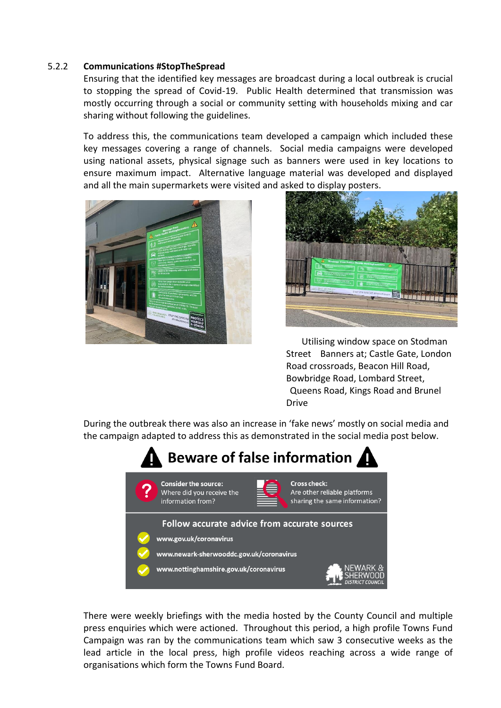#### 5.2.2 **Communications #StopTheSpread**

Ensuring that the identified key messages are broadcast during a local outbreak is crucial to stopping the spread of Covid-19. Public Health determined that transmission was mostly occurring through a social or community setting with households mixing and car sharing without following the guidelines.

To address this, the communications team developed a campaign which included these key messages covering a range of channels. Social media campaigns were developed using national assets, physical signage such as banners were used in key locations to ensure maximum impact. Alternative language material was developed and displayed and all the main supermarkets were visited and asked to display posters.





Utilising window space on Stodman Street Banners at; Castle Gate, London Road crossroads, Beacon Hill Road, Bowbridge Road, Lombard Street, Queens Road, Kings Road and Brunel Drive

During the outbreak there was also an increase in 'fake news' mostly on social media and the campaign adapted to address this as demonstrated in the social media post below.



There were weekly briefings with the media hosted by the County Council and multiple press enquiries which were actioned. Throughout this period, a high profile Towns Fund Campaign was ran by the communications team which saw 3 consecutive weeks as the lead article in the local press, high profile videos reaching across a wide range of organisations which form the Towns Fund Board.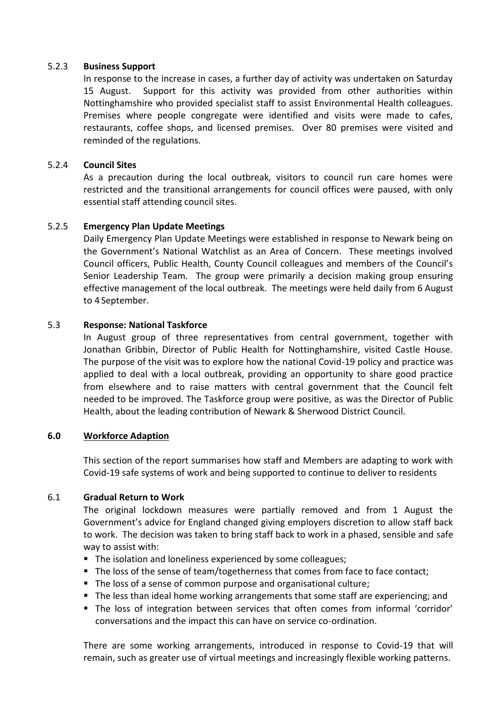#### 5.2.3 **Business Support**

In response to the increase in cases, a further day of activity was undertaken on Saturday 15 August. Support for this activity was provided from other authorities within Nottinghamshire who provided specialist staff to assist Environmental Health colleagues. Premises where people congregate were identified and visits were made to cafes, restaurants, coffee shops, and licensed premises. Over 80 premises were visited and reminded of the regulations.

## 5.2.4 **Council Sites**

As a precaution during the local outbreak, visitors to council run care homes were restricted and the transitional arrangements for council offices were paused, with only essential staff attending council sites.

#### 5.2.5 **Emergency Plan Update Meetings**

Daily Emergency Plan Update Meetings were established in response to Newark being on the Government's National Watchlist as an Area of Concern. These meetings involved Council officers, Public Health, County Council colleagues and members of the Council's Senior Leadership Team. The group were primarily a decision making group ensuring effective management of the local outbreak. The meetings were held daily from 6 August to 4 September.

#### 5.3 **Response: National Taskforce**

In August group of three representatives from central government, together with Jonathan Gribbin, Director of Public Health for Nottinghamshire, visited Castle House. The purpose of the visit was to explore how the national Covid-19 policy and practice was applied to deal with a local outbreak, providing an opportunity to share good practice from elsewhere and to raise matters with central government that the Council felt needed to be improved. The Taskforce group were positive, as was the Director of Public Health, about the leading contribution of Newark & Sherwood District Council.

#### **6.0 Workforce Adaption**

This section of the report summarises how staff and Members are adapting to work with Covid-19 safe systems of work and being supported to continue to deliver to residents

#### 6.1 **Gradual Return to Work**

The original lockdown measures were partially removed and from 1 August the Government's advice for England changed giving employers discretion to allow staff back to work. The decision was taken to bring staff back to work in a phased, sensible and safe way to assist with:

- The isolation and loneliness experienced by some colleagues;
- The loss of the sense of team/togetherness that comes from face to face contact;
- The loss of a sense of common purpose and organisational culture;
- The less than ideal home working arrangements that some staff are experiencing; and
- The loss of integration between services that often comes from informal 'corridor' conversations and the impact this can have on service co-ordination.

There are some working arrangements, introduced in response to Covid-19 that will remain, such as greater use of virtual meetings and increasingly flexible working patterns.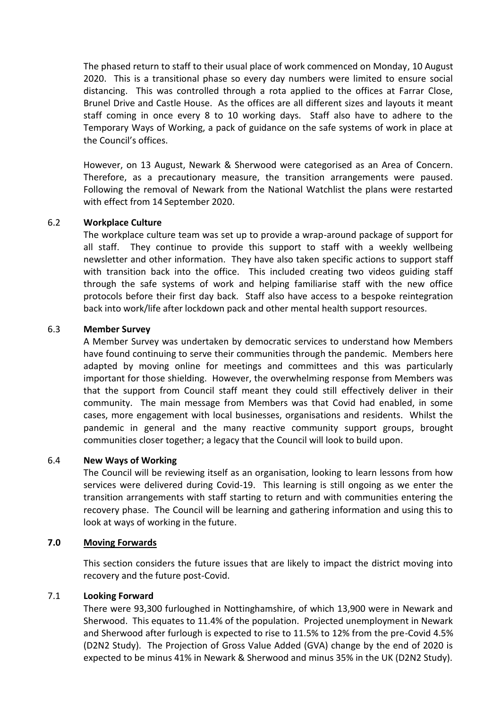The phased return to staff to their usual place of work commenced on Monday, 10 August 2020. This is a transitional phase so every day numbers were limited to ensure social distancing. This was controlled through a rota applied to the offices at Farrar Close, Brunel Drive and Castle House. As the offices are all different sizes and layouts it meant staff coming in once every 8 to 10 working days. Staff also have to adhere to the Temporary Ways of Working, a pack of guidance on the safe systems of work in place at the Council's offices.

However, on 13 August, Newark & Sherwood were categorised as an Area of Concern. Therefore, as a precautionary measure, the transition arrangements were paused. Following the removal of Newark from the National Watchlist the plans were restarted with effect from 14 September 2020.

#### 6.2 **Workplace Culture**

The workplace culture team was set up to provide a wrap-around package of support for all staff. They continue to provide this support to staff with a weekly wellbeing newsletter and other information. They have also taken specific actions to support staff with transition back into the office. This included creating two videos guiding staff through the safe systems of work and helping familiarise staff with the new office protocols before their first day back. Staff also have access to a bespoke reintegration back into work/life after lockdown pack and other mental health support resources.

#### 6.3 **Member Survey**

A Member Survey was undertaken by democratic services to understand how Members have found continuing to serve their communities through the pandemic. Members here adapted by moving online for meetings and committees and this was particularly important for those shielding. However, the overwhelming response from Members was that the support from Council staff meant they could still effectively deliver in their community. The main message from Members was that Covid had enabled, in some cases, more engagement with local businesses, organisations and residents. Whilst the pandemic in general and the many reactive community support groups, brought communities closer together; a legacy that the Council will look to build upon.

#### 6.4 **New Ways of Working**

The Council will be reviewing itself as an organisation, looking to learn lessons from how services were delivered during Covid-19. This learning is still ongoing as we enter the transition arrangements with staff starting to return and with communities entering the recovery phase. The Council will be learning and gathering information and using this to look at ways of working in the future.

#### **7.0 Moving Forwards**

This section considers the future issues that are likely to impact the district moving into recovery and the future post-Covid.

#### 7.1 **Looking Forward**

There were 93,300 furloughed in Nottinghamshire, of which 13,900 were in Newark and Sherwood. This equates to 11.4% of the population. Projected unemployment in Newark and Sherwood after furlough is expected to rise to 11.5% to 12% from the pre-Covid 4.5% (D2N2 Study). The Projection of Gross Value Added (GVA) change by the end of 2020 is expected to be minus 41% in Newark & Sherwood and minus 35% in the UK (D2N2 Study).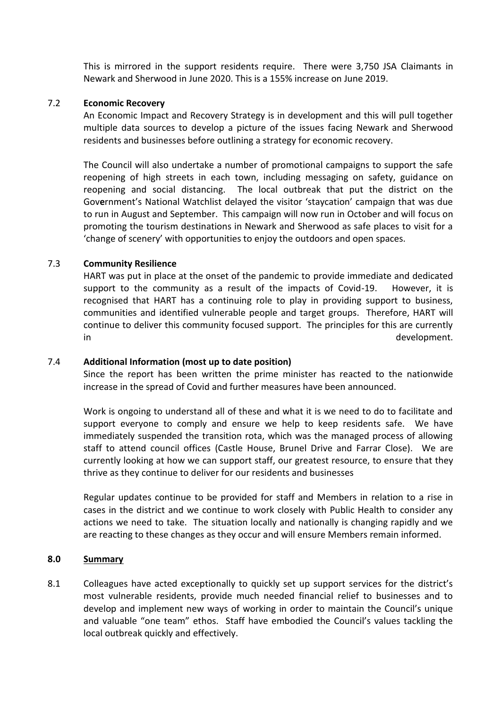This is mirrored in the support residents require. There were 3,750 JSA Claimants in Newark and Sherwood in June 2020. This is a 155% increase on June 2019.

#### 7.2 **Economic Recovery**

An Economic Impact and Recovery Strategy is in development and this will pull together multiple data sources to develop a picture of the issues facing Newark and Sherwood residents and businesses before outlining a strategy for economic recovery.

The Council will also undertake a number of promotional campaigns to support the safe reopening of high streets in each town, including messaging on safety, guidance on reopening and social distancing. The local outbreak that put the district on the Gov**e**rnment's National Watchlist delayed the visitor 'staycation' campaign that was due to run in August and September. This campaign will now run in October and will focus on promoting the tourism destinations in Newark and Sherwood as safe places to visit for a 'change of scenery' with opportunities to enjoy the outdoors and open spaces.

#### 7.3 **Community Resilience**

HART was put in place at the onset of the pandemic to provide immediate and dedicated support to the community as a result of the impacts of Covid-19. However, it is recognised that HART has a continuing role to play in providing support to business, communities and identified vulnerable people and target groups. Therefore, HART will continue to deliver this community focused support. The principles for this are currently in development.

#### 7.4 **Additional Information (most up to date position)**

Since the report has been written the prime minister has reacted to the nationwide increase in the spread of Covid and further measures have been announced.

Work is ongoing to understand all of these and what it is we need to do to facilitate and support everyone to comply and ensure we help to keep residents safe. We have immediately suspended the transition rota, which was the managed process of allowing staff to attend council offices (Castle House, Brunel Drive and Farrar Close). We are currently looking at how we can support staff, our greatest resource, to ensure that they thrive as they continue to deliver for our residents and businesses

Regular updates continue to be provided for staff and Members in relation to a rise in cases in the district and we continue to work closely with Public Health to consider any actions we need to take. The situation locally and nationally is changing rapidly and we are reacting to these changes as they occur and will ensure Members remain informed.

#### **8.0 Summary**

8.1 Colleagues have acted exceptionally to quickly set up support services for the district's most vulnerable residents, provide much needed financial relief to businesses and to develop and implement new ways of working in order to maintain the Council's unique and valuable "one team" ethos. Staff have embodied the Council's values tackling the local outbreak quickly and effectively.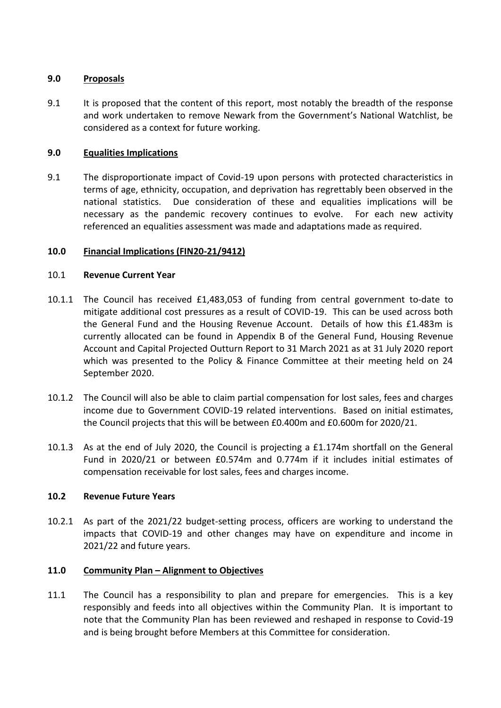## **9.0 Proposals**

9.1 It is proposed that the content of this report, most notably the breadth of the response and work undertaken to remove Newark from the Government's National Watchlist, be considered as a context for future working.

## **9.0 Equalities Implications**

9.1 The disproportionate impact of Covid-19 upon persons with protected characteristics in terms of age, ethnicity, occupation, and deprivation has regrettably been observed in the national statistics. Due consideration of these and equalities implications will be necessary as the pandemic recovery continues to evolve. For each new activity referenced an equalities assessment was made and adaptations made as required.

#### **10.0 Financial Implications (FIN20-21/9412)**

#### 10.1 **Revenue Current Year**

- 10.1.1 The Council has received £1,483,053 of funding from central government to-date to mitigate additional cost pressures as a result of COVID-19. This can be used across both the General Fund and the Housing Revenue Account. Details of how this £1.483m is currently allocated can be found in Appendix B of the General Fund, Housing Revenue Account and Capital Projected Outturn Report to 31 March 2021 as at 31 July 2020 report which was presented to the Policy & Finance Committee at their meeting held on 24 September 2020.
- 10.1.2 The Council will also be able to claim partial compensation for lost sales, fees and charges income due to Government COVID-19 related interventions. Based on initial estimates, the Council projects that this will be between £0.400m and £0.600m for 2020/21.
- 10.1.3 As at the end of July 2020, the Council is projecting a £1.174m shortfall on the General Fund in 2020/21 or between £0.574m and 0.774m if it includes initial estimates of compensation receivable for lost sales, fees and charges income.

#### **10.2 Revenue Future Years**

10.2.1 As part of the 2021/22 budget-setting process, officers are working to understand the impacts that COVID-19 and other changes may have on expenditure and income in 2021/22 and future years.

## **11.0 Community Plan – Alignment to Objectives**

11.1 The Council has a responsibility to plan and prepare for emergencies. This is a key responsibly and feeds into all objectives within the Community Plan. It is important to note that the Community Plan has been reviewed and reshaped in response to Covid-19 and is being brought before Members at this Committee for consideration.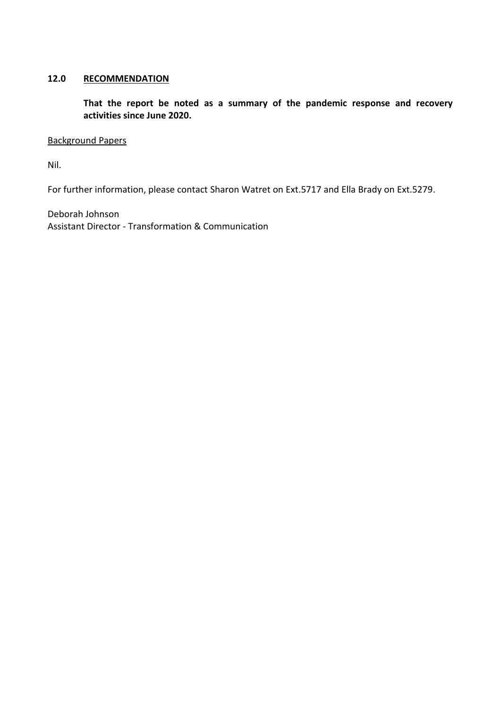## **12.0 RECOMMENDATION**

**That the report be noted as a summary of the pandemic response and recovery activities since June 2020.**

#### Background Papers

Nil.

For further information, please contact Sharon Watret on Ext.5717 and Ella Brady on Ext.5279.

Deborah Johnson Assistant Director - Transformation & Communication